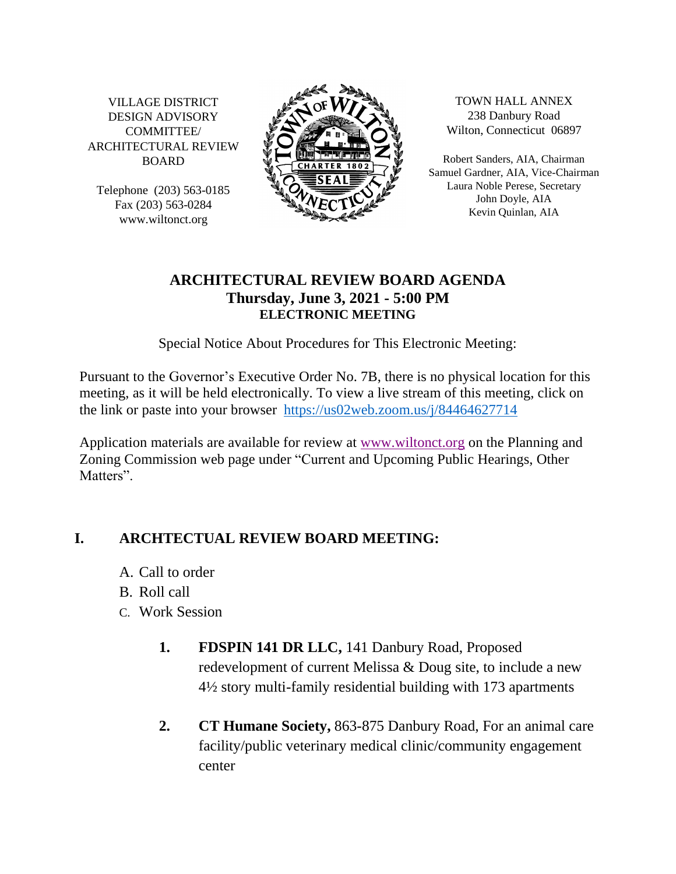VILLAGE DISTRICT DESIGN ADVISORY COMMITTEE/ ARCHITECTURAL REVIEW BOARD

Telephone (203) 563-0185 Fax (203) 563-0284 www.wiltonct.org



TOWN HALL ANNEX 238 Danbury Road Wilton, Connecticut 06897

Robert Sanders, AIA, Chairman Samuel Gardner, AIA, Vice-Chairman Laura Noble Perese, Secretary John Doyle, AIA Kevin Quinlan, AIA

## **ARCHITECTURAL REVIEW BOARD AGENDA Thursday, June 3, 2021 - 5:00 PM ELECTRONIC MEETING**

Special Notice About Procedures for This Electronic Meeting:

Pursuant to the Governor's Executive Order No. 7B, there is no physical location for this meeting, as it will be held electronically. To view a live stream of this meeting, click on the link or paste into your browser <https://us02web.zoom.us/j/84464627714>

Application materials are available for review at [www.wiltonct.org](http://www.wiltonct.org/) on the Planning and Zoning Commission web page under "Current and Upcoming Public Hearings, Other Matters"

## **I. ARCHTECTUAL REVIEW BOARD MEETING:**

- A. Call to order
- B. Roll call
- C. Work Session
	- **1. FDSPIN 141 DR LLC,** 141 Danbury Road, Proposed redevelopment of current Melissa & Doug site, to include a new 4½ story multi-family residential building with 173 apartments
	- **2. CT Humane Society,** 863-875 Danbury Road, For an animal care facility/public veterinary medical clinic/community engagement center